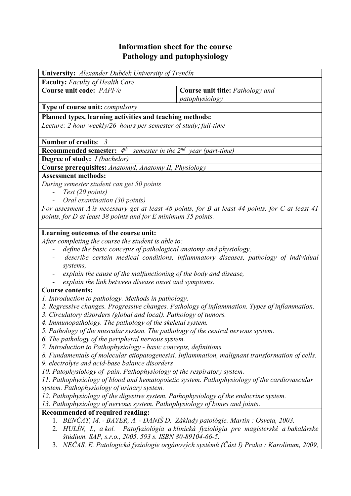## **Information sheet for the course Pathology and patophysiology**

| <b>Faculty:</b> Faculty of Health Care<br>Course unit code: PAPF/e<br>Course unit title: Pathology and<br>patophysiology<br>Type of course unit: compulsory<br>Planned types, learning activities and teaching methods:<br>Lecture: 2 hour weekly/26 hours per semester of study; full-time<br>Number of credits: 3<br><b>Recommended semester:</b> $4^{th}$ semester in the $2^{nd}$ year (part-time)<br><b>Degree of study:</b> <i>I (bachelor)</i><br>Course prerequisites: AnatomyI, Anatomy II, Physiology<br><b>Assessment methods:</b><br>During semester student can get 50 points<br>Test (20 points)<br>Oral examination (30 points)<br>For assesment A is necessary get at least 48 points, for B at least 44 points, for C at least 41<br>points, for D at least 38 points and for E minimum 35 points.<br>Learning outcomes of the course unit:<br>After completing the course the student is able to:<br>define the basic concepts of pathological anatomy and physiology,<br>describe certain medical conditions, inflammatory diseases, pathology of individual<br>systems,<br>explain the cause of the malfunctioning of the body and disease,<br>explain the link between disease onset and symptoms.<br><b>Course contents:</b><br>1. Introduction to pathology. Methods in pathology.<br>2. Regressive changes. Progressive changes. Pathology of inflammation. Types of inflammation.<br>3. Circulatory disorders (global and local). Pathology of tumors.<br>4. Immunopathology. The pathology of the skeletal system.<br>5. Pathology of the muscular system. The pathology of the central nervous system.<br>6. The pathology of the peripheral nervous system.<br>7. Introduction to Pathophysiology - basic concepts, definitions.<br>8. Fundamentals of molecular etiopatogenesisi. Inflammation, malignant transformation of cells.<br>9. electrolyte and acid-base balance disorders<br>10. Patophysiology of pain. Pathophysiology of the respiratory system.<br>11. Pathophysiology of blood and hematopoietic system. Pathophysiology of the cardiovascular<br>system. Pathophysiology of urinary system.<br>12. Pathophysiology of the digestive system. Pathophysiology of the endocrine system.<br>13. Pathophysiology of nervous system. Pathophysiology of bones and joints.<br>Recommended of required reading:<br>1. BENČAT, M. - BAYER, A. - DANIŠ D. Základy patológie. Martin : Osveta, 2003.<br>štúdium. SAP, s.r.o., 2005. 593 s. ISBN 80-89104-66-5.<br>3. NEČAS, E. Patologická fyziologie orgánových systémů (Část I) Praha : Karolinum, 2009, | University: Alexander Dubček University of Trenčín                                     |  |  |  |  |  |  |
|-----------------------------------------------------------------------------------------------------------------------------------------------------------------------------------------------------------------------------------------------------------------------------------------------------------------------------------------------------------------------------------------------------------------------------------------------------------------------------------------------------------------------------------------------------------------------------------------------------------------------------------------------------------------------------------------------------------------------------------------------------------------------------------------------------------------------------------------------------------------------------------------------------------------------------------------------------------------------------------------------------------------------------------------------------------------------------------------------------------------------------------------------------------------------------------------------------------------------------------------------------------------------------------------------------------------------------------------------------------------------------------------------------------------------------------------------------------------------------------------------------------------------------------------------------------------------------------------------------------------------------------------------------------------------------------------------------------------------------------------------------------------------------------------------------------------------------------------------------------------------------------------------------------------------------------------------------------------------------------------------------------------------------------------------------------------------------------------------------------------------------------------------------------------------------------------------------------------------------------------------------------------------------------------------------------------------------------------------------------------------------------------------------------------------------------------------------------------------------------------------------------------------------------------------------------------------------------------------|----------------------------------------------------------------------------------------|--|--|--|--|--|--|
|                                                                                                                                                                                                                                                                                                                                                                                                                                                                                                                                                                                                                                                                                                                                                                                                                                                                                                                                                                                                                                                                                                                                                                                                                                                                                                                                                                                                                                                                                                                                                                                                                                                                                                                                                                                                                                                                                                                                                                                                                                                                                                                                                                                                                                                                                                                                                                                                                                                                                                                                                                                               |                                                                                        |  |  |  |  |  |  |
|                                                                                                                                                                                                                                                                                                                                                                                                                                                                                                                                                                                                                                                                                                                                                                                                                                                                                                                                                                                                                                                                                                                                                                                                                                                                                                                                                                                                                                                                                                                                                                                                                                                                                                                                                                                                                                                                                                                                                                                                                                                                                                                                                                                                                                                                                                                                                                                                                                                                                                                                                                                               |                                                                                        |  |  |  |  |  |  |
|                                                                                                                                                                                                                                                                                                                                                                                                                                                                                                                                                                                                                                                                                                                                                                                                                                                                                                                                                                                                                                                                                                                                                                                                                                                                                                                                                                                                                                                                                                                                                                                                                                                                                                                                                                                                                                                                                                                                                                                                                                                                                                                                                                                                                                                                                                                                                                                                                                                                                                                                                                                               |                                                                                        |  |  |  |  |  |  |
|                                                                                                                                                                                                                                                                                                                                                                                                                                                                                                                                                                                                                                                                                                                                                                                                                                                                                                                                                                                                                                                                                                                                                                                                                                                                                                                                                                                                                                                                                                                                                                                                                                                                                                                                                                                                                                                                                                                                                                                                                                                                                                                                                                                                                                                                                                                                                                                                                                                                                                                                                                                               |                                                                                        |  |  |  |  |  |  |
|                                                                                                                                                                                                                                                                                                                                                                                                                                                                                                                                                                                                                                                                                                                                                                                                                                                                                                                                                                                                                                                                                                                                                                                                                                                                                                                                                                                                                                                                                                                                                                                                                                                                                                                                                                                                                                                                                                                                                                                                                                                                                                                                                                                                                                                                                                                                                                                                                                                                                                                                                                                               |                                                                                        |  |  |  |  |  |  |
|                                                                                                                                                                                                                                                                                                                                                                                                                                                                                                                                                                                                                                                                                                                                                                                                                                                                                                                                                                                                                                                                                                                                                                                                                                                                                                                                                                                                                                                                                                                                                                                                                                                                                                                                                                                                                                                                                                                                                                                                                                                                                                                                                                                                                                                                                                                                                                                                                                                                                                                                                                                               |                                                                                        |  |  |  |  |  |  |
|                                                                                                                                                                                                                                                                                                                                                                                                                                                                                                                                                                                                                                                                                                                                                                                                                                                                                                                                                                                                                                                                                                                                                                                                                                                                                                                                                                                                                                                                                                                                                                                                                                                                                                                                                                                                                                                                                                                                                                                                                                                                                                                                                                                                                                                                                                                                                                                                                                                                                                                                                                                               |                                                                                        |  |  |  |  |  |  |
|                                                                                                                                                                                                                                                                                                                                                                                                                                                                                                                                                                                                                                                                                                                                                                                                                                                                                                                                                                                                                                                                                                                                                                                                                                                                                                                                                                                                                                                                                                                                                                                                                                                                                                                                                                                                                                                                                                                                                                                                                                                                                                                                                                                                                                                                                                                                                                                                                                                                                                                                                                                               |                                                                                        |  |  |  |  |  |  |
|                                                                                                                                                                                                                                                                                                                                                                                                                                                                                                                                                                                                                                                                                                                                                                                                                                                                                                                                                                                                                                                                                                                                                                                                                                                                                                                                                                                                                                                                                                                                                                                                                                                                                                                                                                                                                                                                                                                                                                                                                                                                                                                                                                                                                                                                                                                                                                                                                                                                                                                                                                                               |                                                                                        |  |  |  |  |  |  |
|                                                                                                                                                                                                                                                                                                                                                                                                                                                                                                                                                                                                                                                                                                                                                                                                                                                                                                                                                                                                                                                                                                                                                                                                                                                                                                                                                                                                                                                                                                                                                                                                                                                                                                                                                                                                                                                                                                                                                                                                                                                                                                                                                                                                                                                                                                                                                                                                                                                                                                                                                                                               |                                                                                        |  |  |  |  |  |  |
|                                                                                                                                                                                                                                                                                                                                                                                                                                                                                                                                                                                                                                                                                                                                                                                                                                                                                                                                                                                                                                                                                                                                                                                                                                                                                                                                                                                                                                                                                                                                                                                                                                                                                                                                                                                                                                                                                                                                                                                                                                                                                                                                                                                                                                                                                                                                                                                                                                                                                                                                                                                               |                                                                                        |  |  |  |  |  |  |
|                                                                                                                                                                                                                                                                                                                                                                                                                                                                                                                                                                                                                                                                                                                                                                                                                                                                                                                                                                                                                                                                                                                                                                                                                                                                                                                                                                                                                                                                                                                                                                                                                                                                                                                                                                                                                                                                                                                                                                                                                                                                                                                                                                                                                                                                                                                                                                                                                                                                                                                                                                                               |                                                                                        |  |  |  |  |  |  |
|                                                                                                                                                                                                                                                                                                                                                                                                                                                                                                                                                                                                                                                                                                                                                                                                                                                                                                                                                                                                                                                                                                                                                                                                                                                                                                                                                                                                                                                                                                                                                                                                                                                                                                                                                                                                                                                                                                                                                                                                                                                                                                                                                                                                                                                                                                                                                                                                                                                                                                                                                                                               |                                                                                        |  |  |  |  |  |  |
|                                                                                                                                                                                                                                                                                                                                                                                                                                                                                                                                                                                                                                                                                                                                                                                                                                                                                                                                                                                                                                                                                                                                                                                                                                                                                                                                                                                                                                                                                                                                                                                                                                                                                                                                                                                                                                                                                                                                                                                                                                                                                                                                                                                                                                                                                                                                                                                                                                                                                                                                                                                               |                                                                                        |  |  |  |  |  |  |
|                                                                                                                                                                                                                                                                                                                                                                                                                                                                                                                                                                                                                                                                                                                                                                                                                                                                                                                                                                                                                                                                                                                                                                                                                                                                                                                                                                                                                                                                                                                                                                                                                                                                                                                                                                                                                                                                                                                                                                                                                                                                                                                                                                                                                                                                                                                                                                                                                                                                                                                                                                                               |                                                                                        |  |  |  |  |  |  |
|                                                                                                                                                                                                                                                                                                                                                                                                                                                                                                                                                                                                                                                                                                                                                                                                                                                                                                                                                                                                                                                                                                                                                                                                                                                                                                                                                                                                                                                                                                                                                                                                                                                                                                                                                                                                                                                                                                                                                                                                                                                                                                                                                                                                                                                                                                                                                                                                                                                                                                                                                                                               |                                                                                        |  |  |  |  |  |  |
|                                                                                                                                                                                                                                                                                                                                                                                                                                                                                                                                                                                                                                                                                                                                                                                                                                                                                                                                                                                                                                                                                                                                                                                                                                                                                                                                                                                                                                                                                                                                                                                                                                                                                                                                                                                                                                                                                                                                                                                                                                                                                                                                                                                                                                                                                                                                                                                                                                                                                                                                                                                               |                                                                                        |  |  |  |  |  |  |
|                                                                                                                                                                                                                                                                                                                                                                                                                                                                                                                                                                                                                                                                                                                                                                                                                                                                                                                                                                                                                                                                                                                                                                                                                                                                                                                                                                                                                                                                                                                                                                                                                                                                                                                                                                                                                                                                                                                                                                                                                                                                                                                                                                                                                                                                                                                                                                                                                                                                                                                                                                                               |                                                                                        |  |  |  |  |  |  |
|                                                                                                                                                                                                                                                                                                                                                                                                                                                                                                                                                                                                                                                                                                                                                                                                                                                                                                                                                                                                                                                                                                                                                                                                                                                                                                                                                                                                                                                                                                                                                                                                                                                                                                                                                                                                                                                                                                                                                                                                                                                                                                                                                                                                                                                                                                                                                                                                                                                                                                                                                                                               |                                                                                        |  |  |  |  |  |  |
|                                                                                                                                                                                                                                                                                                                                                                                                                                                                                                                                                                                                                                                                                                                                                                                                                                                                                                                                                                                                                                                                                                                                                                                                                                                                                                                                                                                                                                                                                                                                                                                                                                                                                                                                                                                                                                                                                                                                                                                                                                                                                                                                                                                                                                                                                                                                                                                                                                                                                                                                                                                               |                                                                                        |  |  |  |  |  |  |
|                                                                                                                                                                                                                                                                                                                                                                                                                                                                                                                                                                                                                                                                                                                                                                                                                                                                                                                                                                                                                                                                                                                                                                                                                                                                                                                                                                                                                                                                                                                                                                                                                                                                                                                                                                                                                                                                                                                                                                                                                                                                                                                                                                                                                                                                                                                                                                                                                                                                                                                                                                                               |                                                                                        |  |  |  |  |  |  |
|                                                                                                                                                                                                                                                                                                                                                                                                                                                                                                                                                                                                                                                                                                                                                                                                                                                                                                                                                                                                                                                                                                                                                                                                                                                                                                                                                                                                                                                                                                                                                                                                                                                                                                                                                                                                                                                                                                                                                                                                                                                                                                                                                                                                                                                                                                                                                                                                                                                                                                                                                                                               |                                                                                        |  |  |  |  |  |  |
|                                                                                                                                                                                                                                                                                                                                                                                                                                                                                                                                                                                                                                                                                                                                                                                                                                                                                                                                                                                                                                                                                                                                                                                                                                                                                                                                                                                                                                                                                                                                                                                                                                                                                                                                                                                                                                                                                                                                                                                                                                                                                                                                                                                                                                                                                                                                                                                                                                                                                                                                                                                               |                                                                                        |  |  |  |  |  |  |
|                                                                                                                                                                                                                                                                                                                                                                                                                                                                                                                                                                                                                                                                                                                                                                                                                                                                                                                                                                                                                                                                                                                                                                                                                                                                                                                                                                                                                                                                                                                                                                                                                                                                                                                                                                                                                                                                                                                                                                                                                                                                                                                                                                                                                                                                                                                                                                                                                                                                                                                                                                                               |                                                                                        |  |  |  |  |  |  |
|                                                                                                                                                                                                                                                                                                                                                                                                                                                                                                                                                                                                                                                                                                                                                                                                                                                                                                                                                                                                                                                                                                                                                                                                                                                                                                                                                                                                                                                                                                                                                                                                                                                                                                                                                                                                                                                                                                                                                                                                                                                                                                                                                                                                                                                                                                                                                                                                                                                                                                                                                                                               |                                                                                        |  |  |  |  |  |  |
|                                                                                                                                                                                                                                                                                                                                                                                                                                                                                                                                                                                                                                                                                                                                                                                                                                                                                                                                                                                                                                                                                                                                                                                                                                                                                                                                                                                                                                                                                                                                                                                                                                                                                                                                                                                                                                                                                                                                                                                                                                                                                                                                                                                                                                                                                                                                                                                                                                                                                                                                                                                               |                                                                                        |  |  |  |  |  |  |
|                                                                                                                                                                                                                                                                                                                                                                                                                                                                                                                                                                                                                                                                                                                                                                                                                                                                                                                                                                                                                                                                                                                                                                                                                                                                                                                                                                                                                                                                                                                                                                                                                                                                                                                                                                                                                                                                                                                                                                                                                                                                                                                                                                                                                                                                                                                                                                                                                                                                                                                                                                                               |                                                                                        |  |  |  |  |  |  |
|                                                                                                                                                                                                                                                                                                                                                                                                                                                                                                                                                                                                                                                                                                                                                                                                                                                                                                                                                                                                                                                                                                                                                                                                                                                                                                                                                                                                                                                                                                                                                                                                                                                                                                                                                                                                                                                                                                                                                                                                                                                                                                                                                                                                                                                                                                                                                                                                                                                                                                                                                                                               |                                                                                        |  |  |  |  |  |  |
|                                                                                                                                                                                                                                                                                                                                                                                                                                                                                                                                                                                                                                                                                                                                                                                                                                                                                                                                                                                                                                                                                                                                                                                                                                                                                                                                                                                                                                                                                                                                                                                                                                                                                                                                                                                                                                                                                                                                                                                                                                                                                                                                                                                                                                                                                                                                                                                                                                                                                                                                                                                               |                                                                                        |  |  |  |  |  |  |
|                                                                                                                                                                                                                                                                                                                                                                                                                                                                                                                                                                                                                                                                                                                                                                                                                                                                                                                                                                                                                                                                                                                                                                                                                                                                                                                                                                                                                                                                                                                                                                                                                                                                                                                                                                                                                                                                                                                                                                                                                                                                                                                                                                                                                                                                                                                                                                                                                                                                                                                                                                                               |                                                                                        |  |  |  |  |  |  |
|                                                                                                                                                                                                                                                                                                                                                                                                                                                                                                                                                                                                                                                                                                                                                                                                                                                                                                                                                                                                                                                                                                                                                                                                                                                                                                                                                                                                                                                                                                                                                                                                                                                                                                                                                                                                                                                                                                                                                                                                                                                                                                                                                                                                                                                                                                                                                                                                                                                                                                                                                                                               |                                                                                        |  |  |  |  |  |  |
|                                                                                                                                                                                                                                                                                                                                                                                                                                                                                                                                                                                                                                                                                                                                                                                                                                                                                                                                                                                                                                                                                                                                                                                                                                                                                                                                                                                                                                                                                                                                                                                                                                                                                                                                                                                                                                                                                                                                                                                                                                                                                                                                                                                                                                                                                                                                                                                                                                                                                                                                                                                               |                                                                                        |  |  |  |  |  |  |
|                                                                                                                                                                                                                                                                                                                                                                                                                                                                                                                                                                                                                                                                                                                                                                                                                                                                                                                                                                                                                                                                                                                                                                                                                                                                                                                                                                                                                                                                                                                                                                                                                                                                                                                                                                                                                                                                                                                                                                                                                                                                                                                                                                                                                                                                                                                                                                                                                                                                                                                                                                                               |                                                                                        |  |  |  |  |  |  |
|                                                                                                                                                                                                                                                                                                                                                                                                                                                                                                                                                                                                                                                                                                                                                                                                                                                                                                                                                                                                                                                                                                                                                                                                                                                                                                                                                                                                                                                                                                                                                                                                                                                                                                                                                                                                                                                                                                                                                                                                                                                                                                                                                                                                                                                                                                                                                                                                                                                                                                                                                                                               |                                                                                        |  |  |  |  |  |  |
|                                                                                                                                                                                                                                                                                                                                                                                                                                                                                                                                                                                                                                                                                                                                                                                                                                                                                                                                                                                                                                                                                                                                                                                                                                                                                                                                                                                                                                                                                                                                                                                                                                                                                                                                                                                                                                                                                                                                                                                                                                                                                                                                                                                                                                                                                                                                                                                                                                                                                                                                                                                               |                                                                                        |  |  |  |  |  |  |
|                                                                                                                                                                                                                                                                                                                                                                                                                                                                                                                                                                                                                                                                                                                                                                                                                                                                                                                                                                                                                                                                                                                                                                                                                                                                                                                                                                                                                                                                                                                                                                                                                                                                                                                                                                                                                                                                                                                                                                                                                                                                                                                                                                                                                                                                                                                                                                                                                                                                                                                                                                                               |                                                                                        |  |  |  |  |  |  |
|                                                                                                                                                                                                                                                                                                                                                                                                                                                                                                                                                                                                                                                                                                                                                                                                                                                                                                                                                                                                                                                                                                                                                                                                                                                                                                                                                                                                                                                                                                                                                                                                                                                                                                                                                                                                                                                                                                                                                                                                                                                                                                                                                                                                                                                                                                                                                                                                                                                                                                                                                                                               |                                                                                        |  |  |  |  |  |  |
|                                                                                                                                                                                                                                                                                                                                                                                                                                                                                                                                                                                                                                                                                                                                                                                                                                                                                                                                                                                                                                                                                                                                                                                                                                                                                                                                                                                                                                                                                                                                                                                                                                                                                                                                                                                                                                                                                                                                                                                                                                                                                                                                                                                                                                                                                                                                                                                                                                                                                                                                                                                               |                                                                                        |  |  |  |  |  |  |
|                                                                                                                                                                                                                                                                                                                                                                                                                                                                                                                                                                                                                                                                                                                                                                                                                                                                                                                                                                                                                                                                                                                                                                                                                                                                                                                                                                                                                                                                                                                                                                                                                                                                                                                                                                                                                                                                                                                                                                                                                                                                                                                                                                                                                                                                                                                                                                                                                                                                                                                                                                                               |                                                                                        |  |  |  |  |  |  |
|                                                                                                                                                                                                                                                                                                                                                                                                                                                                                                                                                                                                                                                                                                                                                                                                                                                                                                                                                                                                                                                                                                                                                                                                                                                                                                                                                                                                                                                                                                                                                                                                                                                                                                                                                                                                                                                                                                                                                                                                                                                                                                                                                                                                                                                                                                                                                                                                                                                                                                                                                                                               |                                                                                        |  |  |  |  |  |  |
|                                                                                                                                                                                                                                                                                                                                                                                                                                                                                                                                                                                                                                                                                                                                                                                                                                                                                                                                                                                                                                                                                                                                                                                                                                                                                                                                                                                                                                                                                                                                                                                                                                                                                                                                                                                                                                                                                                                                                                                                                                                                                                                                                                                                                                                                                                                                                                                                                                                                                                                                                                                               |                                                                                        |  |  |  |  |  |  |
|                                                                                                                                                                                                                                                                                                                                                                                                                                                                                                                                                                                                                                                                                                                                                                                                                                                                                                                                                                                                                                                                                                                                                                                                                                                                                                                                                                                                                                                                                                                                                                                                                                                                                                                                                                                                                                                                                                                                                                                                                                                                                                                                                                                                                                                                                                                                                                                                                                                                                                                                                                                               | 2. HULÍN, I., a kol. Patofyziológia a klinická fyziológia pre magisterské a bakalárske |  |  |  |  |  |  |
|                                                                                                                                                                                                                                                                                                                                                                                                                                                                                                                                                                                                                                                                                                                                                                                                                                                                                                                                                                                                                                                                                                                                                                                                                                                                                                                                                                                                                                                                                                                                                                                                                                                                                                                                                                                                                                                                                                                                                                                                                                                                                                                                                                                                                                                                                                                                                                                                                                                                                                                                                                                               |                                                                                        |  |  |  |  |  |  |
|                                                                                                                                                                                                                                                                                                                                                                                                                                                                                                                                                                                                                                                                                                                                                                                                                                                                                                                                                                                                                                                                                                                                                                                                                                                                                                                                                                                                                                                                                                                                                                                                                                                                                                                                                                                                                                                                                                                                                                                                                                                                                                                                                                                                                                                                                                                                                                                                                                                                                                                                                                                               |                                                                                        |  |  |  |  |  |  |
|                                                                                                                                                                                                                                                                                                                                                                                                                                                                                                                                                                                                                                                                                                                                                                                                                                                                                                                                                                                                                                                                                                                                                                                                                                                                                                                                                                                                                                                                                                                                                                                                                                                                                                                                                                                                                                                                                                                                                                                                                                                                                                                                                                                                                                                                                                                                                                                                                                                                                                                                                                                               |                                                                                        |  |  |  |  |  |  |
|                                                                                                                                                                                                                                                                                                                                                                                                                                                                                                                                                                                                                                                                                                                                                                                                                                                                                                                                                                                                                                                                                                                                                                                                                                                                                                                                                                                                                                                                                                                                                                                                                                                                                                                                                                                                                                                                                                                                                                                                                                                                                                                                                                                                                                                                                                                                                                                                                                                                                                                                                                                               |                                                                                        |  |  |  |  |  |  |